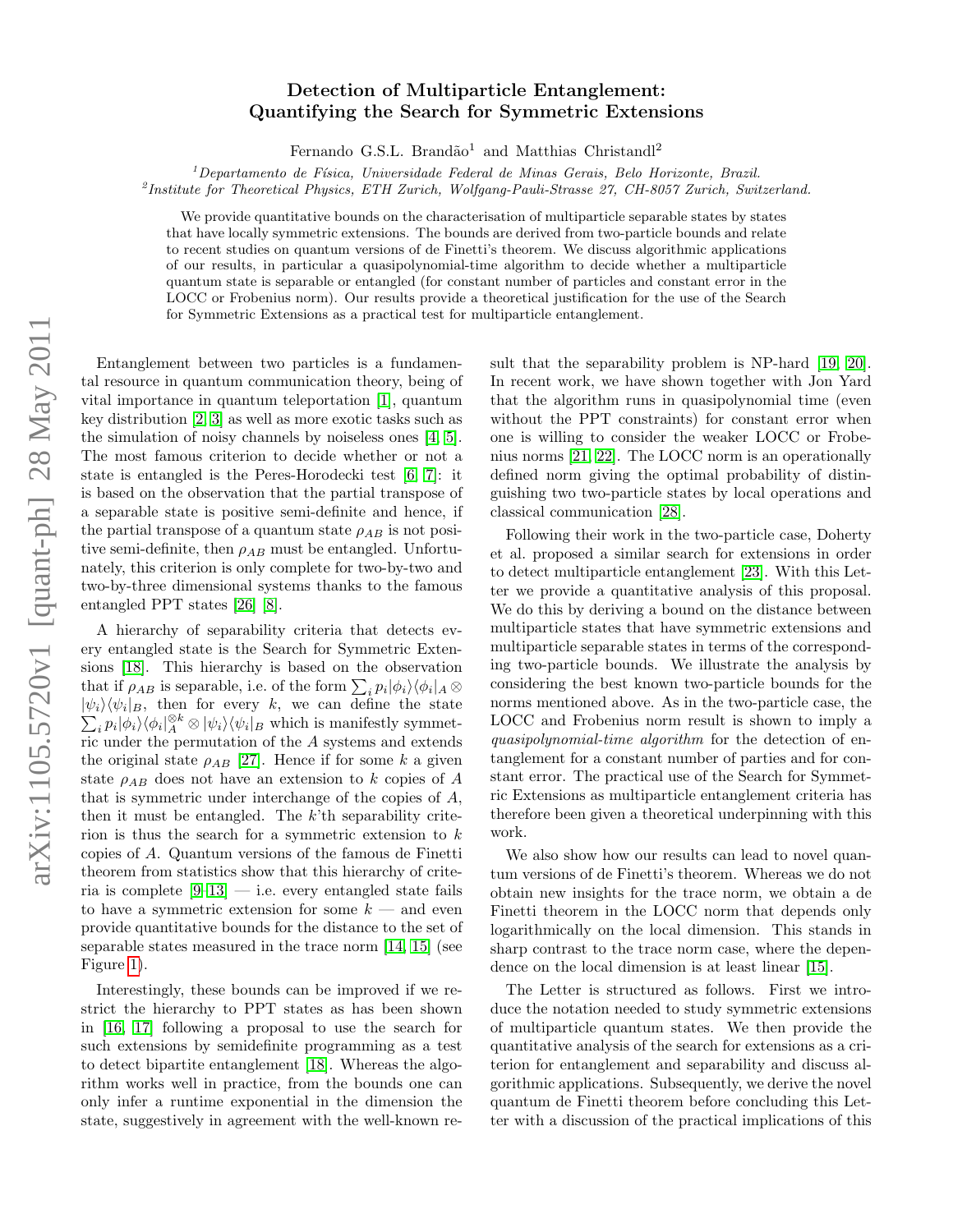## Detection of Multiparticle Entanglement: Quantifying the Search for Symmetric Extensions

Fernando G.S.L. Brandão<sup>1</sup> and Matthias Christandl<sup>2</sup>

 ${}^{1}$ Departamento de Física, Universidade Federal de Minas Gerais, Belo Horizonte, Brazil.

2 Institute for Theoretical Physics, ETH Zurich, Wolfgang-Pauli-Strasse 27, CH-8057 Zurich, Switzerland.

We provide quantitative bounds on the characterisation of multiparticle separable states by states that have locally symmetric extensions. The bounds are derived from two-particle bounds and relate to recent studies on quantum versions of de Finetti's theorem. We discuss algorithmic applications of our results, in particular a quasipolynomial-time algorithm to decide whether a multiparticle quantum state is separable or entangled (for constant number of particles and constant error in the LOCC or Frobenius norm). Our results provide a theoretical justification for the use of the Search for Symmetric Extensions as a practical test for multiparticle entanglement.

Entanglement between two particles is a fundamental resource in quantum communication theory, being of vital importance in quantum teleportation [\[1\]](#page-3-0), quantum key distribution [\[2,](#page-3-1) [3\]](#page-3-2) as well as more exotic tasks such as the simulation of noisy channels by noiseless ones [\[4,](#page-3-3) [5\]](#page-3-4). The most famous criterion to decide whether or not a state is entangled is the Peres-Horodecki test [\[6,](#page-3-5) [7\]](#page-3-6): it is based on the observation that the partial transpose of a separable state is positive semi-definite and hence, if the partial transpose of a quantum state  $\rho_{AB}$  is not positive semi-definite, then  $\rho_{AB}$  must be entangled. Unfortunately, this criterion is only complete for two-by-two and two-by-three dimensional systems thanks to the famous entangled PPT states [\[26\]](#page-4-0) [\[8\]](#page-3-7).

A hierarchy of separability criteria that detects every entangled state is the Search for Symmetric Extensions [\[18\]](#page-4-1). This hierarchy is based on the observation that if  $\rho_{AB}$  is separable, i.e. of the form  $\sum_i p_i |\phi_i\rangle \langle \phi_i|_A \otimes$  $|\psi_i\rangle \langle \psi_i|_B$ , then for every k, we can define the state  $\sum_i p_i |\phi_i\rangle \langle \phi_i|_A^{\otimes k} \otimes |\psi_i\rangle \langle \psi_i|_B$  which is manifestly symmetric under the permutation of the A systems and extends the original state  $\rho_{AB}$  [\[27\]](#page-4-2). Hence if for some k a given state  $\rho_{AB}$  does not have an extension to k copies of A that is symmetric under interchange of the copies of  $A$ , then it must be entangled. The  $k$ <sup>th</sup> separability criterion is thus the search for a symmetric extension to  $k$ copies of A. Quantum versions of the famous de Finetti theorem from statistics show that this hierarchy of criteria is complete  $[9-13]$  $[9-13]$  — i.e. every entangled state fails to have a symmetric extension for some  $k -$  and even provide quantitative bounds for the distance to the set of separable states measured in the trace norm [\[14,](#page-4-4) [15\]](#page-4-5) (see Figure [1\)](#page-1-0).

Interestingly, these bounds can be improved if we restrict the hierarchy to PPT states as has been shown in [\[16,](#page-4-6) [17\]](#page-4-7) following a proposal to use the search for such extensions by semidefinite programming as a test to detect bipartite entanglement [\[18\]](#page-4-1). Whereas the algorithm works well in practice, from the bounds one can only infer a runtime exponential in the dimension the state, suggestively in agreement with the well-known result that the separability problem is NP-hard [\[19,](#page-4-8) [20\]](#page-4-9). In recent work, we have shown together with Jon Yard that the algorithm runs in quasipolynomial time (even without the PPT constraints) for constant error when one is willing to consider the weaker LOCC or Frobenius norms [\[21,](#page-4-10) [22\]](#page-4-11). The LOCC norm is an operationally defined norm giving the optimal probability of distinguishing two two-particle states by local operations and classical communication [\[28\]](#page-4-12).

Following their work in the two-particle case, Doherty et al. proposed a similar search for extensions in order to detect multiparticle entanglement [\[23\]](#page-4-13). With this Letter we provide a quantitative analysis of this proposal. We do this by deriving a bound on the distance between multiparticle states that have symmetric extensions and multiparticle separable states in terms of the corresponding two-particle bounds. We illustrate the analysis by considering the best known two-particle bounds for the norms mentioned above. As in the two-particle case, the LOCC and Frobenius norm result is shown to imply a quasipolynomial-time algorithm for the detection of entanglement for a constant number of parties and for constant error. The practical use of the Search for Symmetric Extensions as multiparticle entanglement criteria has therefore been given a theoretical underpinning with this work.

We also show how our results can lead to novel quantum versions of de Finetti's theorem. Whereas we do not obtain new insights for the trace norm, we obtain a de Finetti theorem in the LOCC norm that depends only logarithmically on the local dimension. This stands in sharp contrast to the trace norm case, where the dependence on the local dimension is at least linear [\[15\]](#page-4-5).

The Letter is structured as follows. First we introduce the notation needed to study symmetric extensions of multiparticle quantum states. We then provide the quantitative analysis of the search for extensions as a criterion for entanglement and separability and discuss algorithmic applications. Subsequently, we derive the novel quantum de Finetti theorem before concluding this Letter with a discussion of the practical implications of this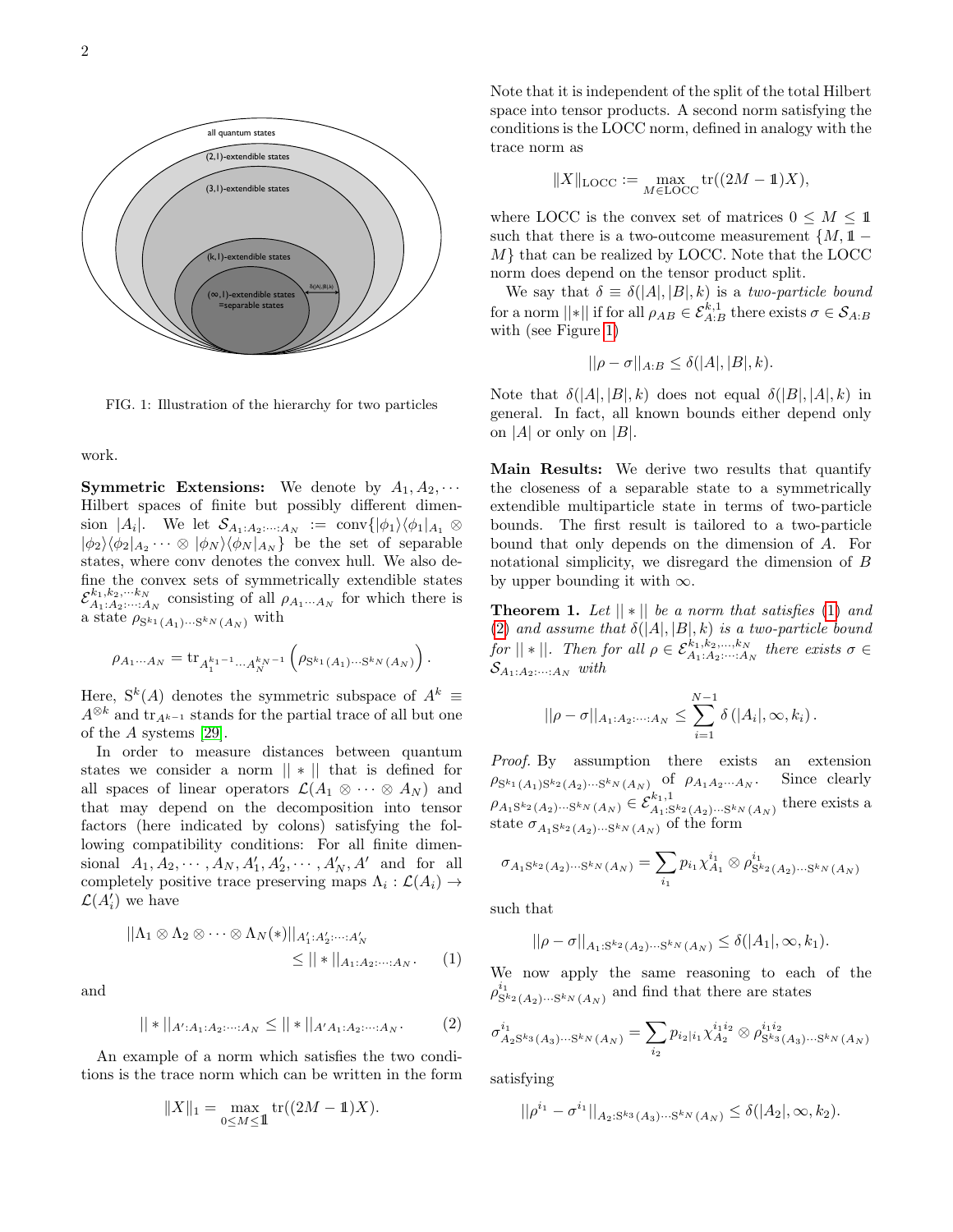

<span id="page-1-0"></span>FIG. 1: Illustration of the hierarchy for two particles

## work.

**Symmetric Extensions:** We denote by  $A_1, A_2, \cdots$ Hilbert spaces of finite but possibly different dimension |A<sub>i</sub>|. We let  $\mathcal{S}_{A_1:A_2:\dots:A_N} := \text{conv}\{|\phi_1\rangle\langle\phi_1|_{A_1} \otimes$  $|\phi_2\rangle\langle\phi_2|_{A_2}\cdots \otimes |\phi_N\rangle\langle\phi_N|_{A_N}$  be the set of separable states, where conv denotes the convex hull. We also define the convex sets of symmetrically extendible states  $\mathcal{E}_{A_1, A_2, \dots, A_N}^{k_1, k_2, \dots, k_N}$  consisting of all  $\rho_{A_1 \dots A_N}$  for which there is a state  $\rho_{S^{k_1}(A_1)\cdots S^{k_N}(A_N)}$  with

$$
\rho_{A_1\cdots A_N} = \text{tr}_{A_1^{k_1-1}\cdots A_N^{k_N-1}} \left(\rho_{S^{k_1}(A_1)\cdots S^{k_N}(A_N)}\right).
$$

Here,  $S^k(A)$  denotes the symmetric subspace of  $A^k \equiv$  $A^{\otimes k}$  and  $\operatorname{tr}_{A^{k-1}}$  stands for the partial trace of all but one of the A systems [\[29\]](#page-4-14).

In order to measure distances between quantum states we consider a norm  $|| * ||$  that is defined for all spaces of linear operators  $\mathcal{L}(A_1 \otimes \cdots \otimes A_N)$  and that may depend on the decomposition into tensor factors (here indicated by colons) satisfying the following compatibility conditions: For all finite dimensional  $A_1, A_2, \cdots, A_N, A'_1, A'_2, \cdots, A'_N, A'$  and for all completely positive trace preserving maps  $\Lambda_i : \mathcal{L}(A_i) \to$  $\mathcal{L}(A_i')$  we have

$$
||\Lambda_1 \otimes \Lambda_2 \otimes \cdots \otimes \Lambda_N(*)||_{A'_1:A'_2:\cdots:A'_N}
$$
  
\$\leq ||\*||\_{A\_1:A\_2:\cdots:A\_N}\$. (1)

and

$$
||*||_{A':A_1:A_2:\cdots:A_N} \le ||*||_{A'A_1:A_2:\cdots:A_N}.
$$
 (2)

An example of a norm which satisfies the two conditions is the trace norm which can be written in the form

$$
||X||_1 = \max_{0 \le M \le 1} tr((2M - 1)X).
$$

Note that it is independent of the split of the total Hilbert space into tensor products. A second norm satisfying the conditions is the LOCC norm, defined in analogy with the trace norm as

$$
||X||_{\text{LOCC}} := \max_{M \in \text{LOCC}} \text{tr}((2M - 1)X),
$$

where LOCC is the convex set of matrices  $0 \leq M \leq 11$ such that there is a two-outcome measurement  $\{M, 1\}$  – M} that can be realized by LOCC. Note that the LOCC norm does depend on the tensor product split.

We say that  $\delta \equiv \delta(|A|, |B|, k)$  is a two-particle bound for a norm  $||*||$  if for all  $\rho_{AB} \in \mathcal{E}^{k,1}_{A:B}$  there exists  $\sigma \in \mathcal{S}_{A:B}$ with (see Figure [1\)](#page-1-0)

$$
||\rho - \sigma||_{A:B} \le \delta(|A|, |B|, k).
$$

Note that  $\delta(|A|, |B|, k)$  does not equal  $\delta(|B|, |A|, k)$  in general. In fact, all known bounds either depend only on |A| or only on |B|.

Main Results: We derive two results that quantify the closeness of a separable state to a symmetrically extendible multiparticle state in terms of two-particle bounds. The first result is tailored to a two-particle bound that only depends on the dimension of A. For notational simplicity, we disregard the dimension of B by upper bounding it with  $\infty$ .

<span id="page-1-3"></span>**Theorem 1.** Let  $||*||$  be a norm that satisfies [\(1\)](#page-1-1) and [\(2\)](#page-1-2) and assume that  $\delta(|A|,|B|,k)$  is a two-particle bound for  $||*||$ . Then for all  $\rho \in \mathcal{E}_{A_1 \cdot A_2 \cdot \cdots \cdot A_N}^{k_1, k_2, \dots, k_N}$  there exists  $\sigma \in$  $\mathcal{S}_{A_1:A_2:\cdots:A_N}$  with

$$
||\rho - \sigma||_{A_1:A_2:\dots: A_N} \leq \sum_{i=1}^{N-1} \delta(|A_i|, \infty, k_i).
$$

Proof. By assumption there exists an extension  $\rho_{S^{k_1}(A_1)S^{k_2}(A_2)\cdots S^{k_N}(A_N)}$  of  $\rho_{A_1A_2\cdots A_N}$ . Since clearly  $\rho_{A_1S^{k_2}(A_2)\cdots S^{k_N}(A_N)} \in \mathcal{E}_{A_1:S^{k_2}(A_2)\cdots S^{k_N}(A_N)}^{k_1,1}$ there exists a state  $\sigma_{A_1S^{k_2}(A_2)\cdots S^{k_N}(A_N)}$  of the form

$$
\sigma_{A_1S^{k_2}(A_2)\cdots S^{k_N}(A_N)} = \sum_{i_1} p_{i_1} \chi_{A_1}^{i_1} \otimes \rho_{S^{k_2}(A_2)\cdots S^{k_N}(A_N)}^{i_1}
$$

such that

$$
||\rho - \sigma||_{A_1: S^{k_2}(A_2)\cdots S^{k_N}(A_N)} \leq \delta(|A_1|, \infty, k_1).
$$

<span id="page-1-1"></span>We now apply the same reasoning to each of the  $\rho_{\mathrm{S}^{k_2}(A_2)\cdots \mathrm{S}^{k_N}(A_N)}^{i_1}$  and find that there are states

<span id="page-1-2"></span>
$$
\sigma_{A_2S^{k_3}(A_3)\cdots S^{k_N}(A_N)}^{i_1} = \sum_{i_2} p_{i_2|i_1} \chi_{A_2}^{i_1i_2} \otimes \rho_{S^{k_3}(A_3)\cdots S^{k_N}(A_N)}^{i_1i_2}
$$

satisfying

$$
||\rho^{i_1} - \sigma^{i_1}||_{A_2: S^{k_3}(A_3)\cdots S^{k_N}(A_N)} \leq \delta(|A_2|, \infty, k_2).
$$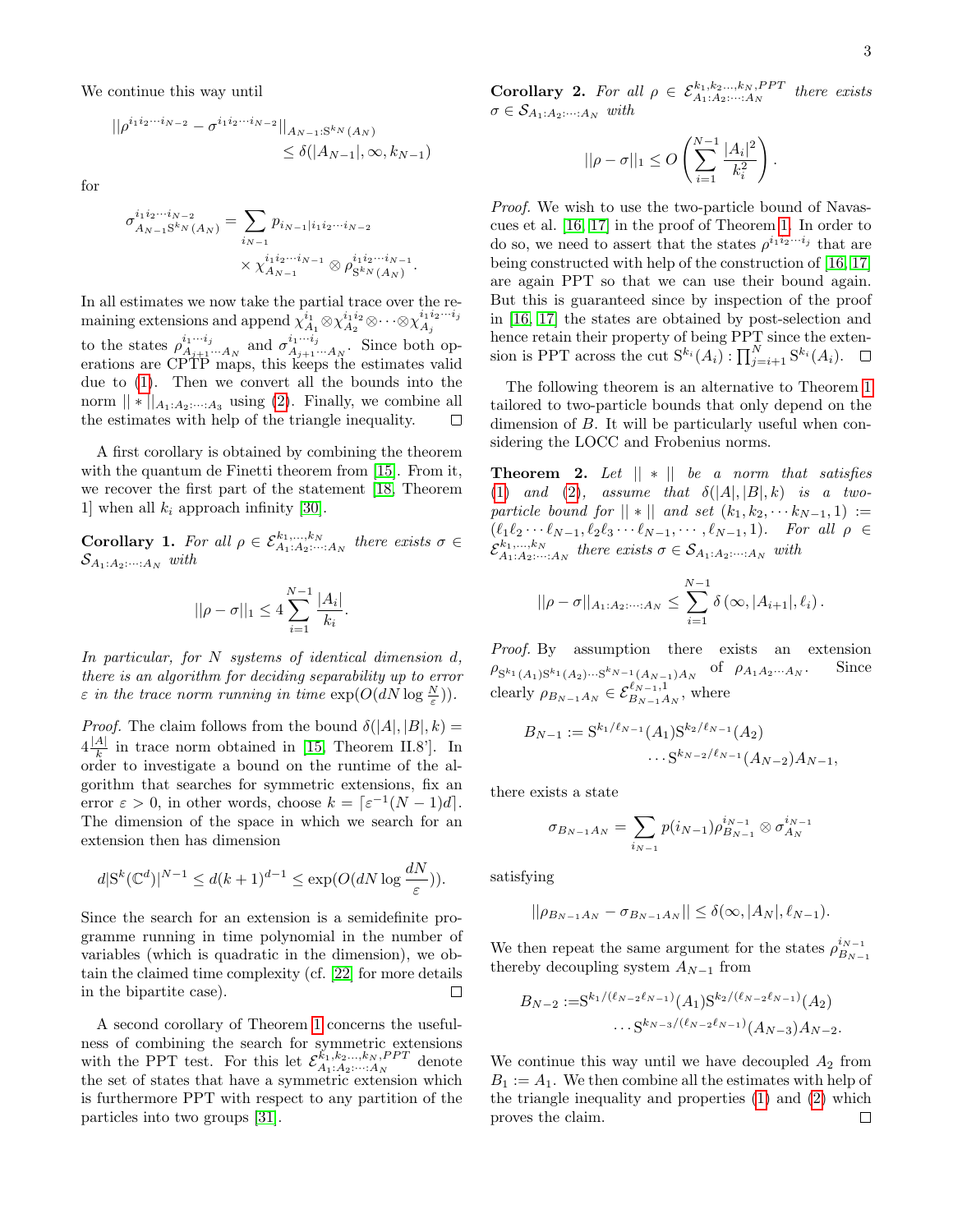We continue this way until

$$
||\rho^{i_1 i_2 \cdots i_{N-2}} - \sigma^{i_1 i_2 \cdots i_{N-2}}||_{A_{N-1}:S^{k_N}(A_N)}
$$
  
\$\leq \delta(|A\_{N-1}|, \infty, k\_{N-1})\$

for

σ

$$
i_1 i_2 \cdots i_{N-2} \atop A_{N-1} S^k N(A_N) = \sum_{i_{N-1}} p_{i_{N-1} | i_1 i_2 \cdots i_{N-2}} \times \chi_{A_{N-1}}^{i_1 i_2 \cdots i_{N-1}} \otimes \rho_{S^k N(A_N)}^{i_1 i_2 \cdots i_{N-1}}.
$$

In all estimates we now take the partial trace over the remaining extensions and append  $\chi^{i_1}_{A_1}\otimes \chi^{i_1i_2}_{A_2}\otimes \cdots \otimes \chi^{i_1i_2\cdots i_j}_{A_j}$  $A_j$ to the states  $\rho_{A_{i+1},i}^{i_1\cdots i_j}$  $i_1 \cdots i_j$ <sub> $A_{j+1} \cdots A_N$ </sub> and  $\sigma_{A_{j+1}}^{i_1 \cdots i_j}$  $A_{j+1}\cdots A_N$ . Since both operations are CPTP maps, this keeps the estimates valid due to [\(1\)](#page-1-1). Then we convert all the bounds into the norm  $|| * ||_{A_1:A_2:\dots:A_3}$  using [\(2\)](#page-1-2). Finally, we combine all the estimates with help of the triangle inequality.  $\Box$ 

A first corollary is obtained by combining the theorem with the quantum de Finetti theorem from [\[15\]](#page-4-5). From it, we recover the first part of the statement [\[18,](#page-4-1) Theorem 1] when all  $k_i$  approach infinity [\[30\]](#page-4-15).

**Corollary 1.** For all  $\rho \in \mathcal{E}^{k_1,\dots,k_N}_{A_1:A_2:\dots:A_N}$  there exists  $\sigma \in$  $\mathcal{S}_{A_1:A_2:\cdots:A_N}$  with

$$
||\rho - \sigma||_1 \le 4 \sum_{i=1}^{N-1} \frac{|A_i|}{k_i}
$$

.

In particular, for N systems of identical dimension d, there is an algorithm for deciding separability up to error  $\varepsilon$  in the trace norm running in time  $\exp(O(dN \log \frac{N}{\varepsilon}))$ .

*Proof.* The claim follows from the bound  $\delta(|A|, |B|, k)$  =  $4\frac{|A|}{k}$  $\frac{A_1}{k}$  in trace norm obtained in [\[15,](#page-4-5) Theorem II.8']. In order to investigate a bound on the runtime of the algorithm that searches for symmetric extensions, fix an error  $\varepsilon > 0$ , in other words, choose  $k = \lceil \varepsilon^{-1}(N-1)d \rceil$ . The dimension of the space in which we search for an extension then has dimension

$$
d|S^{k}(\mathbb{C}^{d})|^{N-1} \leq d(k+1)^{d-1} \leq \exp(O(dN \log \frac{dN}{\varepsilon})).
$$

Since the search for an extension is a semidefinite programme running in time polynomial in the number of variables (which is quadratic in the dimension), we obtain the claimed time complexity (cf. [\[22\]](#page-4-11) for more details in the bipartite case).  $\Box$ 

A second corollary of Theorem [1](#page-1-3) concerns the usefulness of combining the search for symmetric extensions with the PPT test. For this let  $\mathcal{E}_{A_1 \ldots A_n}^{k_1, k_2, \ldots, k_N, PPT}$  denote the set of states that have a symmetric extension which is furthermore PPT with respect to any partition of the particles into two groups [\[31\]](#page-4-16).

**Corollary 2.** For all  $\rho \in \mathcal{E}_{A_1 \cdot A_2 \cdot \cdots \cdot A_N}^{k_1, k_2 \cdot \ldots, k_N, PPT}$  there exists  $\sigma \in \mathcal{S}_{A_1:A_2:\cdots:A_N}$  with

$$
||\rho - \sigma||_1 \leq O\left(\sum_{i=1}^{N-1} \frac{|A_i|^2}{k_i^2}\right).
$$

Proof. We wish to use the two-particle bound of Navascues et al. [\[16,](#page-4-6) [17\]](#page-4-7) in the proof of Theorem [1.](#page-1-3) In order to do so, we need to assert that the states  $\rho^{i_1 i_2 \cdots i_j}$  that are being constructed with help of the construction of [\[16,](#page-4-6) [17\]](#page-4-7) are again PPT so that we can use their bound again. But this is guaranteed since by inspection of the proof in [\[16,](#page-4-6) [17\]](#page-4-7) the states are obtained by post-selection and hence retain their property of being PPT since the extension is PPT across the cut  $S^{k_i}(A_i)$ :  $\prod_{j=i+1}^N S^{k_i}(A_i)$ .

The following theorem is an alternative to Theorem [1](#page-1-3) tailored to two-particle bounds that only depend on the dimension of B. It will be particularly useful when considering the LOCC and Frobenius norms.

<span id="page-2-0"></span>**Theorem 2.** Let  $|| * ||$  be a norm that satisfies [\(1\)](#page-1-1) and [\(2\)](#page-1-2), assume that  $\delta(|A|, |B|, k)$  is a twoparticle bound for  $|| * ||$  and set  $(k_1, k_2, \cdots k_{N-1}, 1) :=$  $(\ell_1\ell_2 \cdots \ell_{N-1}, \ell_2\ell_3 \cdots \ell_{N-1}, \cdots, \ell_{N-1}, 1).$  For all  $\rho \in$  $\mathcal{E}_{A_1:A_2:\cdots:A_N}^{k_1,\ldots,k_N}$  there exists  $\sigma \in \mathcal{S}_{A_1:A_2:\cdots:A_N}$  with

$$
||\rho - \sigma||_{A_1:A_2:\dots:A_N} \leq \sum_{i=1}^{N-1} \delta(\infty, |A_{i+1}|, \ell_i).
$$

Proof. By assumption there exists an extension  $\rho_{S^{k_1}(A_1)S^{k_1}(A_2)\cdots S^{k_{N-1}}(A_{N-1})A_N}$  of  $\rho_{A_1A_2\cdots A_N}$ . Since clearly  $\rho_{B_{N-1}A_N} \in \mathcal{E}_{B_{N-1}A_N}^{\ell_{N-1},1}$ , where

$$
B_{N-1} := S^{k_1/\ell_{N-1}}(A_1)S^{k_2/\ell_{N-1}}(A_2) \cdots S^{k_{N-2}/\ell_{N-1}}(A_{N-2})A_{N-1},
$$

there exists a state

$$
\sigma_{B_{N-1}A_N} = \sum_{i_{N-1}} p(i_{N-1}) \rho_{B_{N-1}}^{i_{N-1}} \otimes \sigma_{A_N}^{i_{N-1}}
$$

satisfying

$$
||\rho_{B_{N-1}A_N} - \sigma_{B_{N-1}A_N}|| \leq \delta(\infty, |A_N|, \ell_{N-1}).
$$

We then repeat the same argument for the states  $\rho_{B_N}^{i_{N-1}}$  $B_{N-1}$ thereby decoupling system  $A_{N-1}$  from

$$
B_{N-2} := S^{k_1/(\ell_{N-2}\ell_{N-1})}(A_1)S^{k_2/(\ell_{N-2}\ell_{N-1})}(A_2)
$$
  
... $S^{k_{N-3}/(\ell_{N-2}\ell_{N-1})}(A_{N-3})A_{N-2}$ .

We continue this way until we have decoupled  $A_2$  from  $B_1 := A_1$ . We then combine all the estimates with help of the triangle inequality and properties [\(1\)](#page-1-1) and [\(2\)](#page-1-2) which proves the claim. $\Box$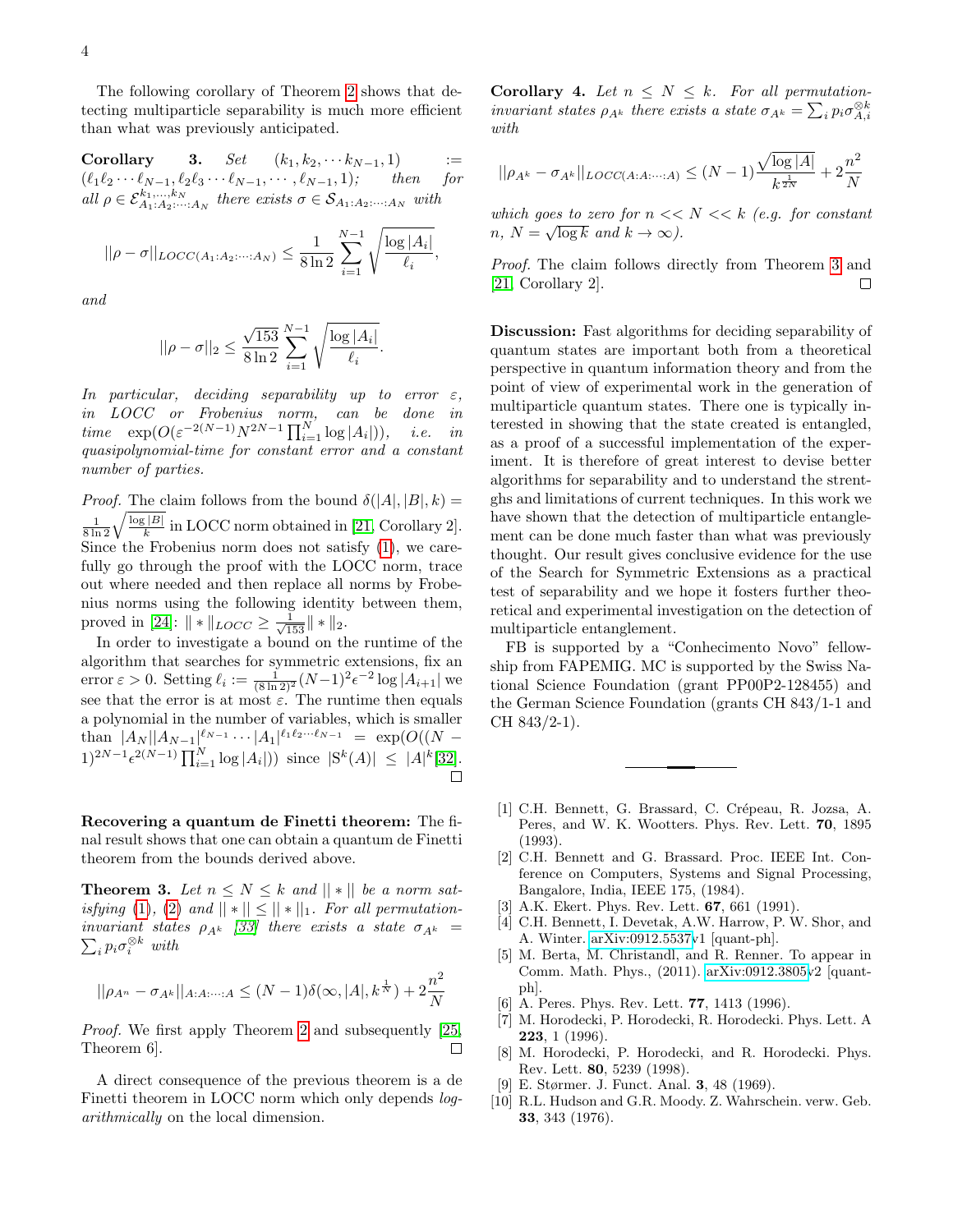The following corollary of Theorem [2](#page-2-0) shows that detecting multiparticle separability is much more efficient than what was previously anticipated.

Corollary 3.  $Set (k_1, k_2, \cdots k_{N-1}, 1)$  :=  $(\ell_1\ell_2 \cdots \ell_{N-1}, \ell_2\ell_3 \cdots \ell_{N-1}, \cdots, \ell_{N-1}, 1);$  then for all  $\rho \in \mathcal{E}_{A_1:A_2:\cdots:A_N}^{k_1,\ldots,k_N}$  there exists  $\sigma \in \mathcal{S}_{A_1:A_2:\cdots:A_N}$  with

$$
||\rho - \sigma||_{LOCC(A_1:A_2:\cdots: A_N)} \leq \frac{1}{8\ln 2} \sum_{i=1}^{N-1} \sqrt{\frac{\log |A_i|}{\ell_i}},
$$

and

$$
||\rho - \sigma||_2 \le \frac{\sqrt{153}}{8 \ln 2} \sum_{i=1}^{N-1} \sqrt{\frac{\log |A_i|}{\ell_i}}.
$$

In particular, deciding separability up to error  $\varepsilon$ , in LOCC or Frobenius norm, can be done in time  $\exp(O(\varepsilon^{-2(N-1)} N^{2N-1} \prod_{i=1}^N \log |A_i|)), \text{ i.e. in}$ quasipolynomial-time for constant error and a constant number of parties.

*Proof.* The claim follows from the bound  $\delta(|A|, |B|, k)$  =  $\frac{1}{8 \ln 2} \sqrt{\frac{\log |B|}{k}}$  $\frac{E[B]}{k}$  in LOCC norm obtained in [\[21,](#page-4-10) Corollary 2]. Since the Frobenius norm does not satisfy [\(1\)](#page-1-1), we carefully go through the proof with the LOCC norm, trace out where needed and then replace all norms by Frobenius norms using the following identity between them, proved in [\[24\]](#page-4-17):  $|| * ||_{LOCC} \ge \frac{1}{\sqrt{153}} || * ||_2$ .

In order to investigate a bound on the runtime of the algorithm that searches for symmetric extensions, fix an error  $\varepsilon > 0$ . Setting  $\ell_i := \frac{1}{(8 \ln 2)^2} (N-1)^2 \epsilon^{-2} \log |A_{i+1}|$  we see that the error is at most  $\varepsilon$ . The runtime then equals a polynomial in the number of variables, which is smaller than  $|A_N||A_{N-1}|^{\ell_{N-1}} \cdots |A_1|^{\ell_1 \ell_2 \cdots \ell_{N-1}} = \exp(O((N -$ 1)<sup>2N-1</sup> $\epsilon^{2(N-1)} \prod_{i=1}^{N} \log |A_i|$ ) since  $|S^k(A)| \leq |A|^k$ [\[32\]](#page-4-18).

Recovering a quantum de Finetti theorem: The final result shows that one can obtain a quantum de Finetti theorem from the bounds derived above.

<span id="page-3-9"></span>**Theorem 3.** Let  $n \leq N \leq k$  and  $\|\cdot\|$  be a norm sat-isfying [\(1\)](#page-1-1), [\(2\)](#page-1-2) and  $||*|| \le ||*||_1$ . For all permutation-P invariant states  $\rho_{A^k}$  [\[33\]](#page-4-19) there exists a state  $\sigma_{A^k}$  =  $i \cdot p_i \sigma_i^{\otimes k}$  with

$$
||\rho_{A^n} - \sigma_{A^k}||_{A:A:\dots:A} \le (N-1)\delta(\infty, |A|, k^{\frac{1}{N}}) + 2\frac{n^2}{N}
$$

Proof. We first apply Theorem [2](#page-2-0) and subsequently [\[25,](#page-4-20) Theorem 6].  $\Box$ 

A direct consequence of the previous theorem is a de Finetti theorem in LOCC norm which only depends *log*arithmically on the local dimension.

**Corollary 4.** Let  $n \leq N \leq k$ . For all permutationinvariant states  $\rho_{A^k}$  there exists a state  $\sigma_{A^k} = \sum_i p_i \sigma_{A,i}^{\otimes k}$ with

$$
||\rho_{A^k} - \sigma_{A^k}||_{LOCC(A:A:\dots:A)} \le (N-1)\frac{\sqrt{\log|A|}}{k^{\frac{1}{2N}}} + 2\frac{n^2}{N}
$$

which goes to zero for  $n \ll N \ll k$  (e.g. for constant  $n, N = \sqrt{\log k}$  and  $k \to \infty$ ).

Proof. The claim follows directly from Theorem [3](#page-3-9) and [\[21,](#page-4-10) Corollary 2].  $\Box$ 

Discussion: Fast algorithms for deciding separability of quantum states are important both from a theoretical perspective in quantum information theory and from the point of view of experimental work in the generation of multiparticle quantum states. There one is typically interested in showing that the state created is entangled, as a proof of a successful implementation of the experiment. It is therefore of great interest to devise better algorithms for separability and to understand the strentghs and limitations of current techniques. In this work we have shown that the detection of multiparticle entanglement can be done much faster than what was previously thought. Our result gives conclusive evidence for the use of the Search for Symmetric Extensions as a practical test of separability and we hope it fosters further theoretical and experimental investigation on the detection of multiparticle entanglement.

FB is supported by a "Conhecimento Novo" fellowship from FAPEMIG. MC is supported by the Swiss National Science Foundation (grant PP00P2-128455) and the German Science Foundation (grants CH 843/1-1 and CH 843/2-1).

- <span id="page-3-0"></span>[1] C.H. Bennett, G. Brassard, C. Crépeau, R. Jozsa, A. Peres, and W. K. Wootters. Phys. Rev. Lett. 70, 1895 (1993).
- <span id="page-3-1"></span>[2] C.H. Bennett and G. Brassard. Proc. IEEE Int. Conference on Computers, Systems and Signal Processing, Bangalore, India, IEEE 175, (1984).
- <span id="page-3-2"></span>[3] A.K. Ekert. Phys. Rev. Lett. **67**, 661 (1991).
- <span id="page-3-3"></span>C.H. Bennett, I. Devetak, A.W. Harrow, P. W. Shor, and A. Winter. [arXiv:0912.5537v](http://arxiv.org/abs/0912.5537)1 [quant-ph].
- <span id="page-3-4"></span>[5] M. Berta, M. Christandl, and R. Renner. To appear in Comm. Math. Phys., (2011). [arXiv:0912.3805v](http://arxiv.org/abs/0912.3805)2 [quantph].
- <span id="page-3-5"></span>[6] A. Peres. Phys. Rev. Lett. **77**, 1413 (1996).
- <span id="page-3-6"></span>[7] M. Horodecki, P. Horodecki, R. Horodecki. Phys. Lett. A 223, 1 (1996).
- <span id="page-3-7"></span>[8] M. Horodecki, P. Horodecki, and R. Horodecki. Phys. Rev. Lett. 80, 5239 (1998).
- <span id="page-3-8"></span>E. Størmer. J. Funct. Anal. **3**, 48 (1969).
- [10] R.L. Hudson and G.R. Moody. Z. Wahrschein. verw. Geb. 33, 343 (1976).